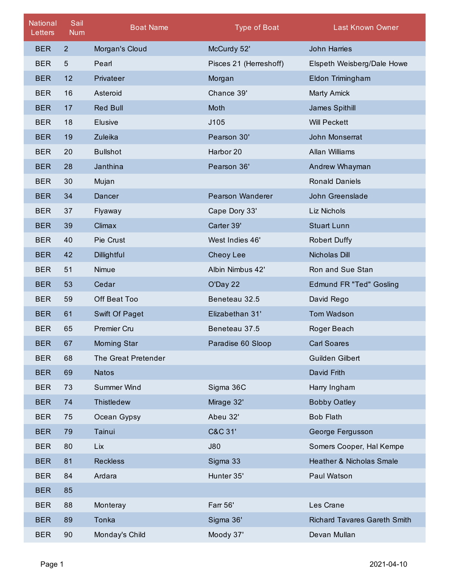| <b>National</b><br>Letters | Sail<br><b>Num</b> | <b>Boat Name</b>    | <b>Type of Boat</b>     | <b>Last Known Owner</b>             |
|----------------------------|--------------------|---------------------|-------------------------|-------------------------------------|
| <b>BER</b>                 | 2 <sup>2</sup>     | Morgan's Cloud      | McCurdy 52'             | John Harries                        |
| <b>BER</b>                 | 5                  | Pearl               | Pisces 21 (Herreshoff)  | Elspeth Weisberg/Dale Howe          |
| <b>BER</b>                 | 12                 | Privateer           | Morgan                  | Eldon Trimingham                    |
| <b>BER</b>                 | 16                 | Asteroid            | Chance 39'              | <b>Marty Amick</b>                  |
| <b>BER</b>                 | 17                 | <b>Red Bull</b>     | Moth                    | James Spithill                      |
| <b>BER</b>                 | 18                 | <b>Elusive</b>      | J105                    | <b>Will Peckett</b>                 |
| <b>BER</b>                 | 19                 | Zuleika             | Pearson 30'             | John Monserrat                      |
| <b>BER</b>                 | 20                 | <b>Bullshot</b>     | Harbor 20               | Allan Williams                      |
| <b>BER</b>                 | 28                 | Janthina            | Pearson 36'             | Andrew Whayman                      |
| <b>BER</b>                 | 30                 | Mujan               |                         | <b>Ronald Daniels</b>               |
| <b>BER</b>                 | 34                 | Dancer              | <b>Pearson Wanderer</b> | John Greenslade                     |
| <b>BER</b>                 | 37                 | Flyaway             | Cape Dory 33'           | Liz Nichols                         |
| <b>BER</b>                 | 39                 | Climax              | Carter 39'              | <b>Stuart Lunn</b>                  |
| <b>BER</b>                 | 40                 | Pie Crust           | West Indies 46'         | <b>Robert Duffy</b>                 |
| <b>BER</b>                 | 42                 | Dillightful         | Cheoy Lee               | Nicholas Dill                       |
| <b>BER</b>                 | 51                 | Nimue               | Albin Nimbus 42'        | Ron and Sue Stan                    |
| <b>BER</b>                 | 53                 | Cedar               | O'Day 22                | <b>Edmund FR "Ted" Gosling</b>      |
| <b>BER</b>                 | 59                 | Off Beat Too        | Beneteau 32.5           | David Rego                          |
| <b>BER</b>                 | 61                 | Swift Of Paget      | Elizabethan 31'         | <b>Tom Wadson</b>                   |
| <b>BER</b>                 | 65                 | Premier Cru         | Beneteau 37.5           | Roger Beach                         |
| <b>BER</b>                 | 67                 | <b>Morning Star</b> | Paradise 60 Sloop       | <b>Carl Soares</b>                  |
| <b>BER</b>                 | 68                 | The Great Pretender |                         | Guilden Gilbert                     |
| <b>BER</b>                 | 69                 | <b>Natos</b>        |                         | David Frith                         |
| <b>BER</b>                 | 73                 | <b>Summer Wind</b>  | Sigma 36C               | Harry Ingham                        |
| <b>BER</b>                 | 74                 | Thistledew          | Mirage 32'              | <b>Bobby Oatley</b>                 |
| <b>BER</b>                 | 75                 | Ocean Gypsy         | Abeu 32'                | <b>Bob Flath</b>                    |
| <b>BER</b>                 | 79                 | Tainui              | C&C 31'                 | George Fergusson                    |
| <b>BER</b>                 | 80                 | Lix                 | <b>J80</b>              | Somers Cooper, Hal Kempe            |
| <b>BER</b>                 | 81                 | <b>Reckless</b>     | Sigma 33                | <b>Heather &amp; Nicholas Smale</b> |
| <b>BER</b>                 | 84                 | Ardara              | Hunter 35'              | Paul Watson                         |
| <b>BER</b>                 | 85                 |                     |                         |                                     |
| <b>BER</b>                 | 88                 | Monteray            | Farr 56'                | Les Crane                           |
| <b>BER</b>                 | 89                 | Tonka               | Sigma 36'               | Richard Tavares Gareth Smith        |
| <b>BER</b>                 | 90                 | Monday's Child      | Moody 37'               | Devan Mullan                        |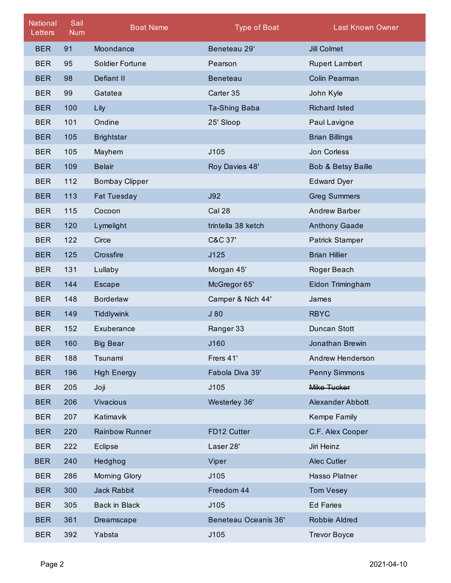| <b>National</b><br>Letters | Sail<br><b>Num</b> | <b>Boat Name</b>      | <b>Type of Boat</b>  | <b>Last Known Owner</b> |
|----------------------------|--------------------|-----------------------|----------------------|-------------------------|
| <b>BER</b>                 | 91                 | Moondance             | Beneteau 29'         | <b>Jill Colmet</b>      |
| <b>BER</b>                 | 95                 | Soldier Fortune       | Pearson              | <b>Rupert Lambert</b>   |
| <b>BER</b>                 | 98                 | Defiant II            | <b>Beneteau</b>      | Colin Pearman           |
| <b>BER</b>                 | 99                 | Gatatea               | Carter 35            | John Kyle               |
| <b>BER</b>                 | 100                | Lily                  | Ta-Shing Baba        | <b>Richard Isted</b>    |
| <b>BER</b>                 | 101                | Ondine                | 25' Sloop            | Paul Lavigne            |
| <b>BER</b>                 | 105                | <b>Brightstar</b>     |                      | <b>Brian Billings</b>   |
| <b>BER</b>                 | 105                | Mayhem                | J105                 | Jon Corless             |
| <b>BER</b>                 | 109                | <b>Belair</b>         | Roy Davies 48'       | Bob & Betsy Baille      |
| <b>BER</b>                 | 112                | <b>Bombay Clipper</b> |                      | <b>Edward Dyer</b>      |
| <b>BER</b>                 | 113                | <b>Fat Tuesday</b>    | J92                  | <b>Greg Summers</b>     |
| <b>BER</b>                 | 115                | Cocoon                | Cal 28               | <b>Andrew Barber</b>    |
| <b>BER</b>                 | 120                | Lymelight             | trintella 38 ketch   | <b>Anthony Gaade</b>    |
| <b>BER</b>                 | 122                | Circe                 | C&C 37'              | <b>Patrick Stamper</b>  |
| <b>BER</b>                 | 125                | Crossfire             | J125                 | <b>Brian Hillier</b>    |
| <b>BER</b>                 | 131                | Lullaby               | Morgan 45'           | Roger Beach             |
| <b>BER</b>                 | 144                | <b>Escape</b>         | McGregor 65'         | Eldon Trimingham        |
| <b>BER</b>                 | 148                | <b>Borderlaw</b>      | Camper & Nich 44'    | James                   |
| <b>BER</b>                 | 149                | <b>Tiddlywink</b>     | J80                  | <b>RBYC</b>             |
| <b>BER</b>                 | 152                | Exuberance            | Ranger 33            | Duncan Stott            |
| <b>BER</b>                 | 160                | Big Bear              | J160                 | Jonathan Brewin         |
| <b>BER</b>                 | 188                | Tsunami               | Frers 41'            | Andrew Henderson        |
| <b>BER</b>                 | 196                | <b>High Energy</b>    | Fabola Diva 39'      | <b>Penny Simmons</b>    |
| <b>BER</b>                 | 205                | Joji                  | J105                 | Mike Tucker             |
| <b>BER</b>                 | 206                | <b>Vivacious</b>      | Westerley 36'        | <b>Alexander Abbott</b> |
| <b>BER</b>                 | 207                | Katimavik             |                      | Kempe Family            |
| <b>BER</b>                 | 220                | <b>Rainbow Runner</b> | FD12 Cutter          | C.F. Alex Cooper        |
| <b>BER</b>                 | 222                | Eclipse               | Laser 28'            | Jiri Heinz              |
| <b>BER</b>                 | 240                | Hedghog               | Viper                | Alec Cutler             |
| <b>BER</b>                 | 286                | Morning Glory         | J105                 | Hasso Platner           |
| <b>BER</b>                 | 300                | <b>Jack Rabbit</b>    | Freedom 44           | <b>Tom Vesey</b>        |
| <b>BER</b>                 | 305                | Back in Black         | J105                 | <b>Ed Faries</b>        |
| <b>BER</b>                 | 361                | Dreamscape            | Beneteau Oceanis 36' | Robbie Aldred           |
| <b>BER</b>                 | 392                | Yabsta                | J105                 | <b>Trevor Boyce</b>     |